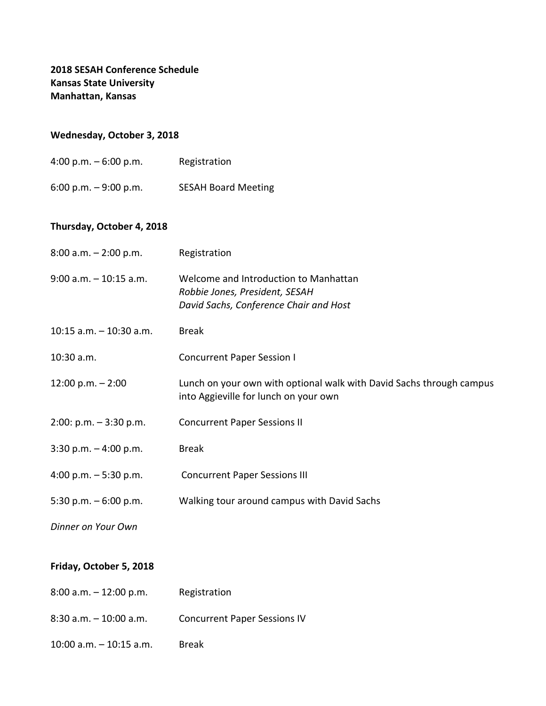## **Wednesday, October 3, 2018**

6:00 p.m. – 9:00 p.m. SESAH Board Meeting

## **Thursday, October 4, 2018**

| $8:00$ a.m. $-2:00$ p.m.   | Registration                                                                                                      |
|----------------------------|-------------------------------------------------------------------------------------------------------------------|
| $9:00$ a.m. $-10:15$ a.m.  | Welcome and Introduction to Manhattan<br>Robbie Jones, President, SESAH<br>David Sachs, Conference Chair and Host |
| $10:15$ a.m. $-10:30$ a.m. | <b>Break</b>                                                                                                      |
| 10:30 a.m.                 | <b>Concurrent Paper Session I</b>                                                                                 |
| $12:00 p.m. - 2:00$        | Lunch on your own with optional walk with David Sachs through campus<br>into Aggieville for lunch on your own     |
| $2:00: p.m. - 3:30 p.m.$   | <b>Concurrent Paper Sessions II</b>                                                                               |
| $3:30$ p.m. $-4:00$ p.m.   | <b>Break</b>                                                                                                      |
| 4:00 p.m. $-5:30$ p.m.     | <b>Concurrent Paper Sessions III</b>                                                                              |
| 5:30 p.m. $-6:00$ p.m.     | Walking tour around campus with David Sachs                                                                       |
| Dinner on Your Own         |                                                                                                                   |

## **Friday, October 5, 2018**

| 8:00 a.m. – 12:00 p.m. | Registration |
|------------------------|--------------|
|------------------------|--------------|

- 8:30 a.m. 10:00 a.m. Concurrent Paper Sessions IV
- 10:00 a.m. 10:15 a.m. Break